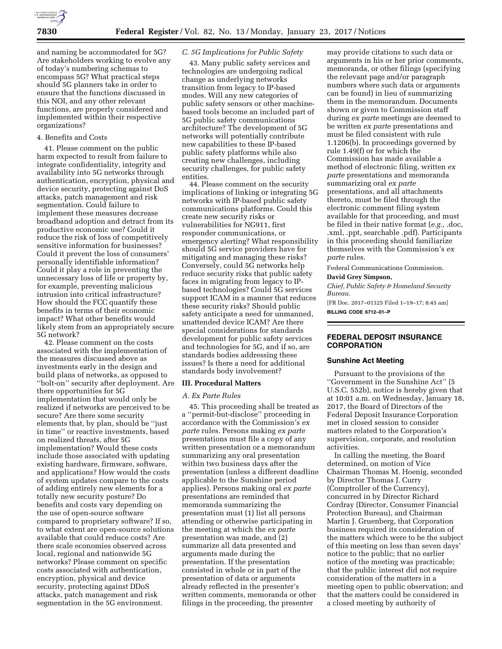

and naming be accommodated for 5G? Are stakeholders working to evolve any of today's numbering schemas to encompass 5G? What practical steps should 5G planners take in order to ensure that the functions discussed in this NOI, and any other relevant functions, are properly considered and implemented within their respective organizations?

#### 4. Benefits and Costs

41. Please comment on the public harm expected to result from failure to integrate confidentiality, integrity and availability into 5G networks through authentication, encryption, physical and device security, protecting against DoS attacks, patch management and risk segmentation. Could failure to implement these measures decrease broadband adoption and detract from its productive economic use? Could it reduce the risk of loss of competitively sensitive information for businesses? Could it prevent the loss of consumers' personally identifiable information? Could it play a role in preventing the unnecessary loss of life or property by, for example, preventing malicious intrusion into critical infrastructure? How should the FCC quantify these benefits in terms of their economic impact? What other benefits would likely stem from an appropriately secure 5G network?

42. Please comment on the costs associated with the implementation of the measures discussed above as investments early in the design and build plans of networks, as opposed to ''bolt-on'' security after deployment. Are there opportunities for 5G implementation that would only be realized if networks are perceived to be secure? Are there some security elements that, by plan, should be ''just in time'' or reactive investments, based on realized threats, after 5G implementation? Would these costs include those associated with updating existing hardware, firmware, software, and applications? How would the costs of system updates compare to the costs of adding entirely new elements for a totally new security posture? Do benefits and costs vary depending on the use of open-source software compared to proprietary software? If so, to what extent are open-source solutions available that could reduce costs? Are there scale economies observed across local, regional and nationwide 5G networks? Please comment on specific costs associated with authentication, encryption, physical and device security, protecting against DDoS attacks, patch management and risk segmentation in the 5G environment.

### *C. 5G Implications for Public Safety*

43. Many public safety services and technologies are undergoing radical change as underlying networks transition from legacy to IP-based modes. Will any new categories of public safety sensors or other machinebased tools become an included part of 5G public safety communications architecture? The development of 5G networks will potentially contribute new capabilities to these IP-based public safety platforms while also creating new challenges, including security challenges, for public safety entities.

44. Please comment on the security implications of linking or integrating 5G networks with IP-based public safety communications platforms. Could this create new security risks or vulnerabilities for NG911, first responder communications, or emergency alerting? What responsibility should 5G service providers have for mitigating and managing these risks? Conversely, could 5G networks help reduce security risks that public safety faces in migrating from legacy to IPbased technologies? Could 5G services support ICAM in a manner that reduces these security risks? Should public safety anticipate a need for unmanned, unattended device ICAM? Are there special considerations for standards development for public safety services and technologies for 5G, and if so, are standards bodies addressing these issues? Is there a need for additional standards body involvement?

# **III. Procedural Matters**

#### *A. Ex Parte Rules*

45. This proceeding shall be treated as a ''permit-but-disclose'' proceeding in accordance with the Commission's *ex parte* rules. Persons making *ex parte*  presentations must file a copy of any written presentation or a memorandum summarizing any oral presentation within two business days after the presentation (unless a different deadline applicable to the Sunshine period applies). Persons making oral *ex parte*  presentations are reminded that memoranda summarizing the presentation must (1) list all persons attending or otherwise participating in the meeting at which the *ex parte*  presentation was made, and (2) summarize all data presented and arguments made during the presentation. If the presentation consisted in whole or in part of the presentation of data or arguments already reflected in the presenter's written comments, memoranda or other filings in the proceeding, the presenter

may provide citations to such data or arguments in his or her prior comments, memoranda, or other filings (specifying the relevant page and/or paragraph numbers where such data or arguments can be found) in lieu of summarizing them in the memorandum. Documents shown or given to Commission staff during *ex parte* meetings are deemed to be written *ex parte* presentations and must be filed consistent with rule 1.1206(b). In proceedings governed by rule 1.49(f) or for which the Commission has made available a method of electronic filing, written *ex parte* presentations and memoranda summarizing oral *ex parte*  presentations, and all attachments thereto, must be filed through the electronic comment filing system available for that proceeding, and must be filed in their native format (*e.g.,* .doc, .xml, .ppt, searchable .pdf). Participants in this proceeding should familiarize themselves with the Commission's *ex parte* rules.

Federal Communications Commission.

#### **David Grey Simpson,**

*Chief, Public Safety & Homeland Security Bureau.* 

[FR Doc. 2017–01325 Filed 1–19–17; 8:45 am] **BILLING CODE 6712–01–P** 

# **FEDERAL DEPOSIT INSURANCE CORPORATION**

#### **Sunshine Act Meeting**

Pursuant to the provisions of the ''Government in the Sunshine Act'' (5 U.S.C. 552b), notice is hereby given that at 10:01 a.m. on Wednesday, January 18, 2017, the Board of Directors of the Federal Deposit Insurance Corporation met in closed session to consider matters related to the Corporation's supervision, corporate, and resolution activities.

In calling the meeting, the Board determined, on motion of Vice Chairman Thomas M. Hoenig, seconded by Director Thomas J. Curry (Comptroller of the Currency), concurred in by Director Richard Cordray (Director, Consumer Financial Protection Bureau), and Chairman Martin J. Gruenberg, that Corporation business required its consideration of the matters which were to be the subject of this meeting on less than seven days' notice to the public; that no earlier notice of the meeting was practicable; that the public interest did not require consideration of the matters in a meeting open to public observation; and that the matters could be considered in a closed meeting by authority of